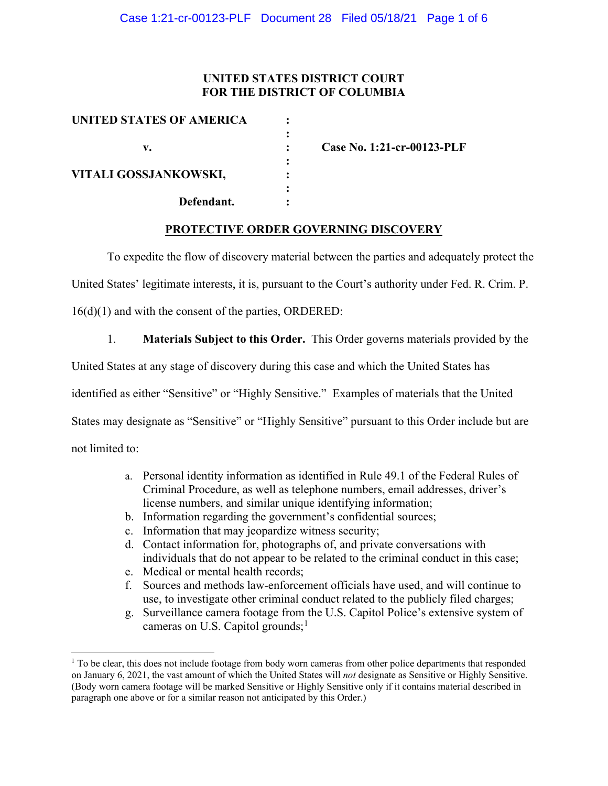## **UNITED STATES DISTRICT COURT FOR THE DISTRICT OF COLUMBIA**

| UNITED STATES OF AMERICA |                            |
|--------------------------|----------------------------|
| v.                       | Case No. 1:21-cr-00123-PLF |
| VITALI GOSSJANKOWSKI,    |                            |
| Defendant.               |                            |

### **PROTECTIVE ORDER GOVERNING DISCOVERY**

To expedite the flow of discovery material between the parties and adequately protect the

United States' legitimate interests, it is, pursuant to the Court's authority under Fed. R. Crim. P.

16(d)(1) and with the consent of the parties, ORDERED:

1. **Materials Subject to this Order.** This Order governs materials provided by the

United States at any stage of discovery during this case and which the United States has

identified as either "Sensitive" or "Highly Sensitive." Examples of materials that the United

States may designate as "Sensitive" or "Highly Sensitive" pursuant to this Order include but are

not limited to:

- a. Personal identity information as identified in Rule 49.1 of the Federal Rules of Criminal Procedure, as well as telephone numbers, email addresses, driver's license numbers, and similar unique identifying information;
- b. Information regarding the government's confidential sources;
- c. Information that may jeopardize witness security;
- d. Contact information for, photographs of, and private conversations with individuals that do not appear to be related to the criminal conduct in this case;
- e. Medical or mental health records;
- f. Sources and methods law-enforcement officials have used, and will continue to use, to investigate other criminal conduct related to the publicly filed charges;
- g. Surveillance camera footage from the U.S. Capitol Police's extensive system of cameras on U.S. Capitol grounds; $<sup>1</sup>$ </sup>

 $1$  To be clear, this does not include footage from body worn cameras from other police departments that responded on January 6, 2021, the vast amount of which the United States will *not* designate as Sensitive or Highly Sensitive. (Body worn camera footage will be marked Sensitive or Highly Sensitive only if it contains material described in paragraph one above or for a similar reason not anticipated by this Order.)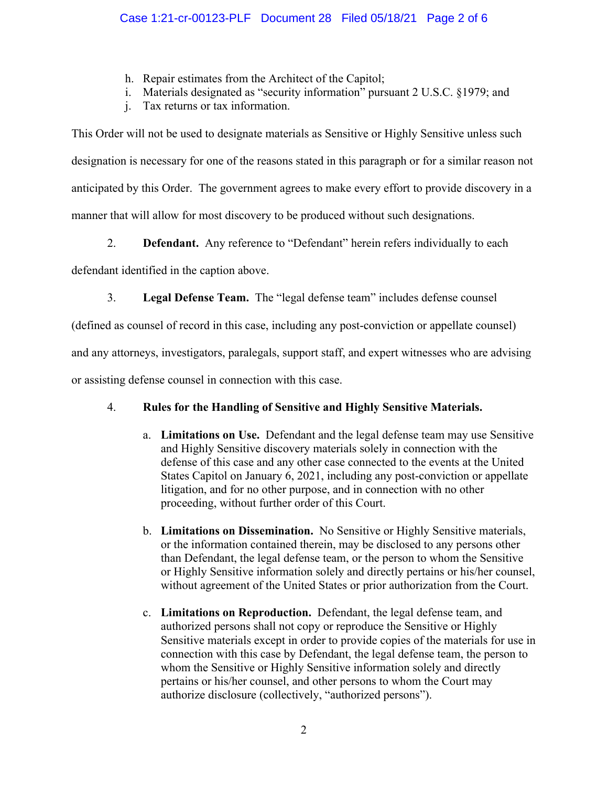- h. Repair estimates from the Architect of the Capitol;
- i. Materials designated as "security information" pursuant 2 U.S.C. §1979; and
- j. Tax returns or tax information.

This Order will not be used to designate materials as Sensitive or Highly Sensitive unless such designation is necessary for one of the reasons stated in this paragraph or for a similar reason not anticipated by this Order. The government agrees to make every effort to provide discovery in a manner that will allow for most discovery to be produced without such designations.

2. **Defendant.** Any reference to "Defendant" herein refers individually to each

defendant identified in the caption above.

3. **Legal Defense Team.** The "legal defense team" includes defense counsel

(defined as counsel of record in this case, including any post-conviction or appellate counsel)

and any attorneys, investigators, paralegals, support staff, and expert witnesses who are advising

or assisting defense counsel in connection with this case.

# 4. **Rules for the Handling of Sensitive and Highly Sensitive Materials.**

- a. **Limitations on Use.** Defendant and the legal defense team may use Sensitive and Highly Sensitive discovery materials solely in connection with the defense of this case and any other case connected to the events at the United States Capitol on January 6, 2021, including any post-conviction or appellate litigation, and for no other purpose, and in connection with no other proceeding, without further order of this Court.
- b. **Limitations on Dissemination.** No Sensitive or Highly Sensitive materials, or the information contained therein, may be disclosed to any persons other than Defendant, the legal defense team, or the person to whom the Sensitive or Highly Sensitive information solely and directly pertains or his/her counsel, without agreement of the United States or prior authorization from the Court.
- c. **Limitations on Reproduction.** Defendant, the legal defense team, and authorized persons shall not copy or reproduce the Sensitive or Highly Sensitive materials except in order to provide copies of the materials for use in connection with this case by Defendant, the legal defense team, the person to whom the Sensitive or Highly Sensitive information solely and directly pertains or his/her counsel, and other persons to whom the Court may authorize disclosure (collectively, "authorized persons").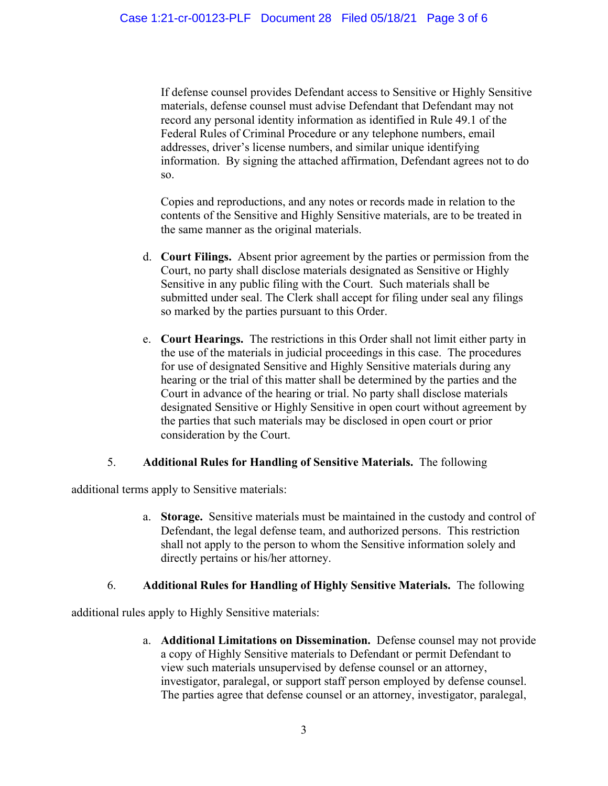If defense counsel provides Defendant access to Sensitive or Highly Sensitive materials, defense counsel must advise Defendant that Defendant may not record any personal identity information as identified in Rule 49.1 of the Federal Rules of Criminal Procedure or any telephone numbers, email addresses, driver's license numbers, and similar unique identifying information. By signing the attached affirmation, Defendant agrees not to do so.

Copies and reproductions, and any notes or records made in relation to the contents of the Sensitive and Highly Sensitive materials, are to be treated in the same manner as the original materials.

- d. **Court Filings.** Absent prior agreement by the parties or permission from the Court, no party shall disclose materials designated as Sensitive or Highly Sensitive in any public filing with the Court. Such materials shall be submitted under seal. The Clerk shall accept for filing under seal any filings so marked by the parties pursuant to this Order.
- e. **Court Hearings.** The restrictions in this Order shall not limit either party in the use of the materials in judicial proceedings in this case. The procedures for use of designated Sensitive and Highly Sensitive materials during any hearing or the trial of this matter shall be determined by the parties and the Court in advance of the hearing or trial. No party shall disclose materials designated Sensitive or Highly Sensitive in open court without agreement by the parties that such materials may be disclosed in open court or prior consideration by the Court.

### 5. **Additional Rules for Handling of Sensitive Materials.** The following

additional terms apply to Sensitive materials:

a. **Storage.** Sensitive materials must be maintained in the custody and control of Defendant, the legal defense team, and authorized persons. This restriction shall not apply to the person to whom the Sensitive information solely and directly pertains or his/her attorney.

### 6. **Additional Rules for Handling of Highly Sensitive Materials.** The following

additional rules apply to Highly Sensitive materials:

a. **Additional Limitations on Dissemination.** Defense counsel may not provide a copy of Highly Sensitive materials to Defendant or permit Defendant to view such materials unsupervised by defense counsel or an attorney, investigator, paralegal, or support staff person employed by defense counsel. The parties agree that defense counsel or an attorney, investigator, paralegal,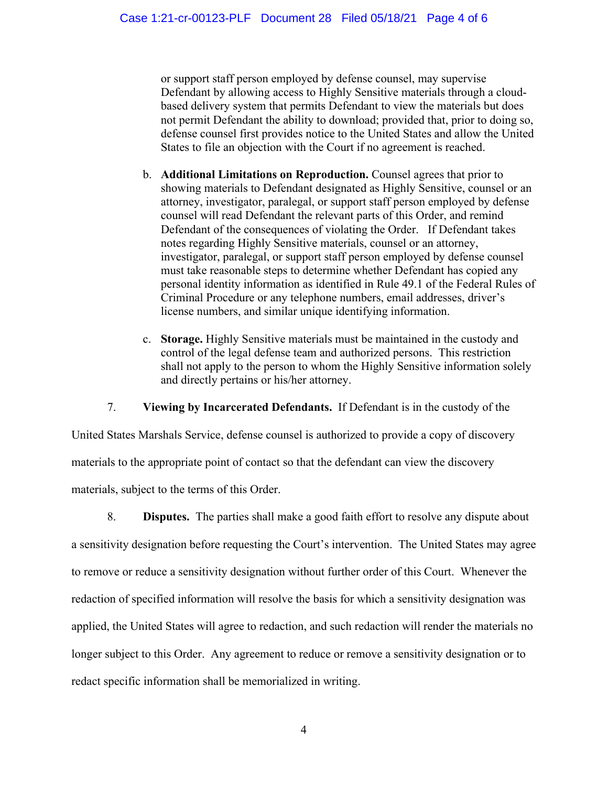or support staff person employed by defense counsel, may supervise Defendant by allowing access to Highly Sensitive materials through a cloudbased delivery system that permits Defendant to view the materials but does not permit Defendant the ability to download; provided that, prior to doing so, defense counsel first provides notice to the United States and allow the United States to file an objection with the Court if no agreement is reached.

- b. **Additional Limitations on Reproduction.** Counsel agrees that prior to showing materials to Defendant designated as Highly Sensitive, counsel or an attorney, investigator, paralegal, or support staff person employed by defense counsel will read Defendant the relevant parts of this Order, and remind Defendant of the consequences of violating the Order. If Defendant takes notes regarding Highly Sensitive materials, counsel or an attorney, investigator, paralegal, or support staff person employed by defense counsel must take reasonable steps to determine whether Defendant has copied any personal identity information as identified in Rule 49.1 of the Federal Rules of Criminal Procedure or any telephone numbers, email addresses, driver's license numbers, and similar unique identifying information.
- c. **Storage.** Highly Sensitive materials must be maintained in the custody and control of the legal defense team and authorized persons. This restriction shall not apply to the person to whom the Highly Sensitive information solely and directly pertains or his/her attorney.

7. **Viewing by Incarcerated Defendants.** If Defendant is in the custody of the

United States Marshals Service, defense counsel is authorized to provide a copy of discovery materials to the appropriate point of contact so that the defendant can view the discovery materials, subject to the terms of this Order.

8. **Disputes.** The parties shall make a good faith effort to resolve any dispute about a sensitivity designation before requesting the Court's intervention. The United States may agree to remove or reduce a sensitivity designation without further order of this Court. Whenever the redaction of specified information will resolve the basis for which a sensitivity designation was applied, the United States will agree to redaction, and such redaction will render the materials no longer subject to this Order. Any agreement to reduce or remove a sensitivity designation or to redact specific information shall be memorialized in writing.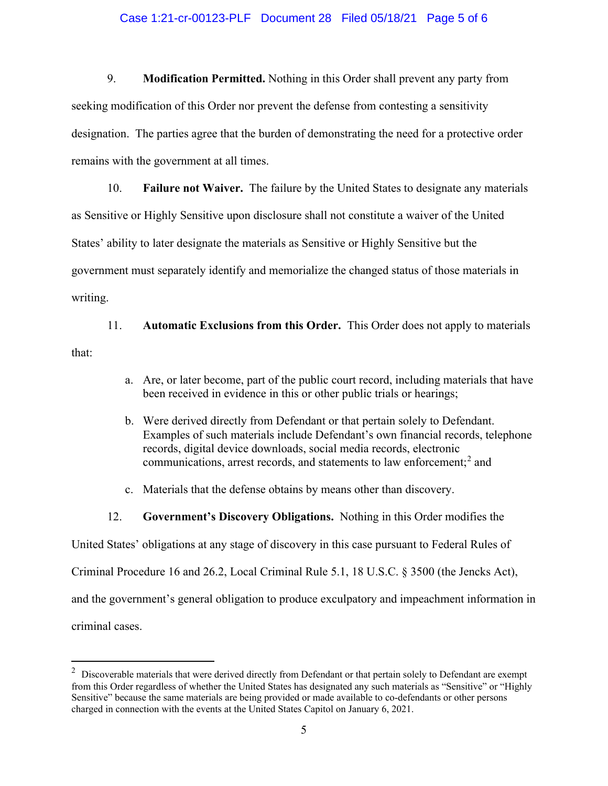#### Case 1:21-cr-00123-PLF Document 28 Filed 05/18/21 Page 5 of 6

9. **Modification Permitted.** Nothing in this Order shall prevent any party from seeking modification of this Order nor prevent the defense from contesting a sensitivity designation. The parties agree that the burden of demonstrating the need for a protective order remains with the government at all times.

10. **Failure not Waiver.** The failure by the United States to designate any materials as Sensitive or Highly Sensitive upon disclosure shall not constitute a waiver of the United States' ability to later designate the materials as Sensitive or Highly Sensitive but the government must separately identify and memorialize the changed status of those materials in writing.

11. **Automatic Exclusions from this Order.** This Order does not apply to materials that:

- a. Are, or later become, part of the public court record, including materials that have been received in evidence in this or other public trials or hearings;
- b. Were derived directly from Defendant or that pertain solely to Defendant. Examples of such materials include Defendant's own financial records, telephone records, digital device downloads, social media records, electronic communications, arrest records, and statements to law enforcement;<sup>2</sup> and
- c. Materials that the defense obtains by means other than discovery.
- 12. **Government's Discovery Obligations.** Nothing in this Order modifies the

United States' obligations at any stage of discovery in this case pursuant to Federal Rules of

Criminal Procedure 16 and 26.2, Local Criminal Rule 5.1, 18 U.S.C. § 3500 (the Jencks Act),

and the government's general obligation to produce exculpatory and impeachment information in

criminal cases.

 $2$  Discoverable materials that were derived directly from Defendant or that pertain solely to Defendant are exempt from this Order regardless of whether the United States has designated any such materials as "Sensitive" or "Highly Sensitive" because the same materials are being provided or made available to co-defendants or other persons charged in connection with the events at the United States Capitol on January 6, 2021.